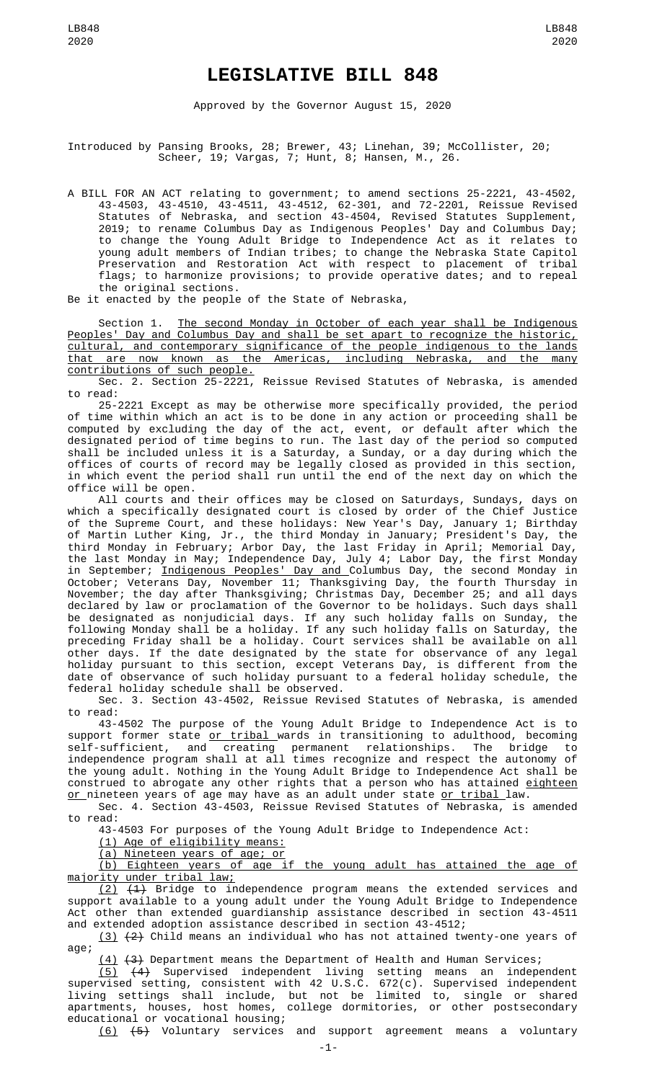## **LEGISLATIVE BILL 848**

Approved by the Governor August 15, 2020

Introduced by Pansing Brooks, 28; Brewer, 43; Linehan, 39; McCollister, 20; Scheer, 19; Vargas, 7; Hunt, 8; Hansen, M., 26.

A BILL FOR AN ACT relating to government; to amend sections 25-2221, 43-4502, 43-4503, 43-4510, 43-4511, 43-4512, 62-301, and 72-2201, Reissue Revised Statutes of Nebraska, and section 43-4504, Revised Statutes Supplement, 2019; to rename Columbus Day as Indigenous Peoples' Day and Columbus Day; to change the Young Adult Bridge to Independence Act as it relates to young adult members of Indian tribes; to change the Nebraska State Capitol Preservation and Restoration Act with respect to placement of tribal flags; to harmonize provisions; to provide operative dates; and to repeal the original sections.

Be it enacted by the people of the State of Nebraska,

Section 1. The second Monday in October of each year shall be Indigenous Peoples' Day and Columbus Day and shall be set apart to recognize the historic, cultural, and contemporary significance of the people indigenous to the lands that are now known as the Americas, including Nebraska, and the many contributions of such people.

Sec. 2. Section 25-2221, Reissue Revised Statutes of Nebraska, is amended to read:

25-2221 Except as may be otherwise more specifically provided, the period of time within which an act is to be done in any action or proceeding shall be computed by excluding the day of the act, event, or default after which the designated period of time begins to run. The last day of the period so computed shall be included unless it is a Saturday, a Sunday, or a day during which the offices of courts of record may be legally closed as provided in this section, in which event the period shall run until the end of the next day on which the office will be open.

All courts and their offices may be closed on Saturdays, Sundays, days on which a specifically designated court is closed by order of the Chief Justice of the Supreme Court, and these holidays: New Year's Day, January 1; Birthday of Martin Luther King, Jr., the third Monday in January; President's Day, the third Monday in February; Arbor Day, the last Friday in April; Memorial Day, the last Monday in May; Independence Day, July 4; Labor Day, the first Monday in September; <u>Indigenous Peoples' Day and C</u>olumbus Day, the second Monday in October; Veterans Day, November 11; Thanksgiving Day, the fourth Thursday in November; the day after Thanksgiving; Christmas Day, December 25; and all days declared by law or proclamation of the Governor to be holidays. Such days shall be designated as nonjudicial days. If any such holiday falls on Sunday, the following Monday shall be a holiday. If any such holiday falls on Saturday, the preceding Friday shall be a holiday. Court services shall be available on all other days. If the date designated by the state for observance of any legal holiday pursuant to this section, except Veterans Day, is different from the date of observance of such holiday pursuant to a federal holiday schedule, the federal holiday schedule shall be observed.

Sec. 3. Section 43-4502, Reissue Revised Statutes of Nebraska, is amended to read:

43-4502 The purpose of the Young Adult Bridge to Independence Act is to support former state <u>or tribal </u>wards in transitioning to adulthood, becoming self-sufficient, and creating permanent relationships. The bridge to independence program shall at all times recognize and respect the autonomy of the young adult. Nothing in the Young Adult Bridge to Independence Act shall be construed to abrogate any other rights that a person who has attained <u>eighteen</u> <u>or </u>nineteen years of age may have as an adult under state <u>or tribal </u>law. Sec. 4. Section 43-4503, Reissue Revised Statutes of Nebraska, is amended

to read:

43-4503 For purposes of the Young Adult Bridge to Independence Act:

(1) Age of eligibility means:

(a) Nineteen years of age; or

(b) Eighteen years of age if the young adult has attained the age of majority under tribal law;

 $(2)$   $(4)$  Bridge to independence program means the extended services and support available to a young adult under the Young Adult Bridge to Independence Act other than extended guardianship assistance described in section 43-4511 and extended adoption assistance described in section 43-4512;

(3) (2) Child means an individual who has not attained twenty-one years of age;

(4) (3) Department means the Department of Health and Human Services;

(5) (4) Supervised independent living setting means an independent supervised setting, consistent with 42 U.S.C. 672(c). Supervised independent living settings shall include, but not be limited to, single or shared apartments, houses, host homes, college dormitories, or other postsecondary educational or vocational housing;

(6) (5) Voluntary services and support agreement means a voluntary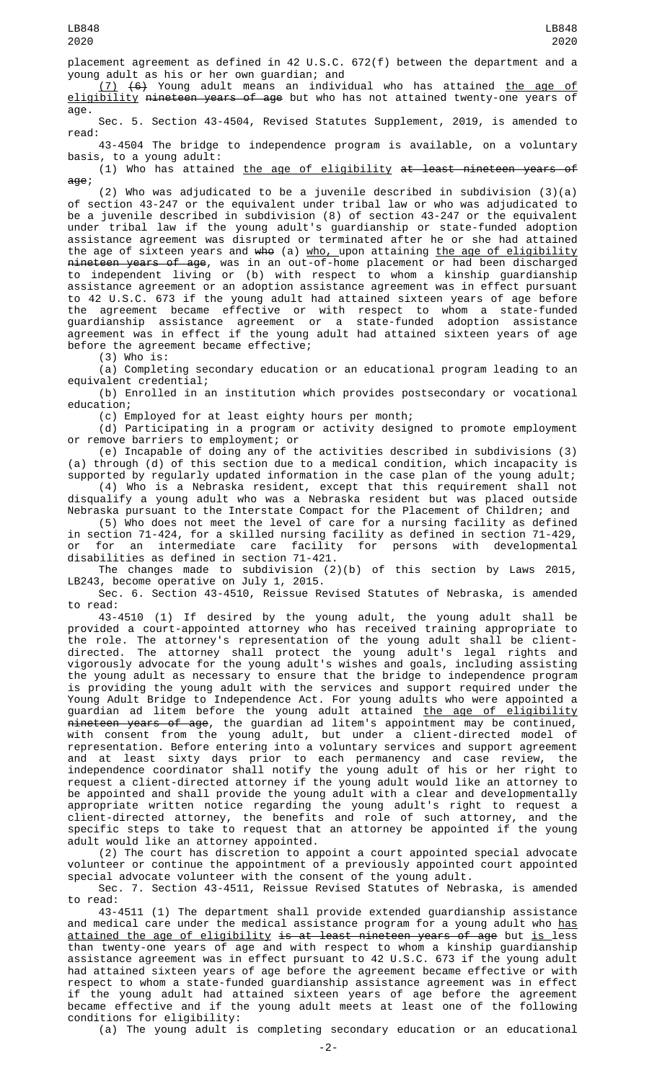placement agreement as defined in 42 U.S.C. 672(f) between the department and a young adult as his or her own guardian; and

(7) (6) Young adult means an individual who has attained the age of eligibility nineteen years of age but who has not attained twenty-one years of age.

Sec. 5. Section 43-4504, Revised Statutes Supplement, 2019, is amended to read:

43-4504 The bridge to independence program is available, on a voluntary basis, to a young adult:

(1) Who has attained the age of eligibility at least nineteen years of age;

(2) Who was adjudicated to be a juvenile described in subdivision (3)(a) of section 43-247 or the equivalent under tribal law or who was adjudicated to be a juvenile described in subdivision (8) of section 43-247 or the equivalent under tribal law if the young adult's guardianship or state-funded adoption assistance agreement was disrupted or terminated after he or she had attained the age of sixteen years and <del>who</del> (a) <u>who, upon attaining the age of eligibility</u> <del>nineteen years of age</del>, was in an out-of-home placement or had been discharged to independent living or (b) with respect to whom a kinship guardianship assistance agreement or an adoption assistance agreement was in effect pursuant to 42 U.S.C. 673 if the young adult had attained sixteen years of age before the agreement became effective or with respect to whom a state-funded guardianship assistance agreement or a state-funded adoption assistance agreement was in effect if the young adult had attained sixteen years of age before the agreement became effective;

 $(3)$  Who is:

(a) Completing secondary education or an educational program leading to an equivalent credential;

(b) Enrolled in an institution which provides postsecondary or vocational education;

(c) Employed for at least eighty hours per month;

(d) Participating in a program or activity designed to promote employment or remove barriers to employment; or

(e) Incapable of doing any of the activities described in subdivisions (3) (a) through (d) of this section due to a medical condition, which incapacity is supported by regularly updated information in the case plan of the young adult;

(4) Who is a Nebraska resident, except that this requirement shall not disqualify a young adult who was a Nebraska resident but was placed outside Nebraska pursuant to the Interstate Compact for the Placement of Children; and

(5) Who does not meet the level of care for a nursing facility as defined in section 71-424, for a skilled nursing facility as defined in section 71-429, or for an intermediate care facility for persons with developmental disabilities as defined in section 71-421.

The changes made to subdivision (2)(b) of this section by Laws 2015, LB243, become operative on July 1, 2015.

Sec. 6. Section 43-4510, Reissue Revised Statutes of Nebraska, is amended to read:

43-4510 (1) If desired by the young adult, the young adult shall be provided a court-appointed attorney who has received training appropriate to the role. The attorney's representation of the young adult shall be clientdirected. The attorney shall protect the young adult's legal rights and vigorously advocate for the young adult's wishes and goals, including assisting the young adult as necessary to ensure that the bridge to independence program is providing the young adult with the services and support required under the Young Adult Bridge to Independence Act. For young adults who were appointed a guardian ad litem before the young adult attained <u>the age of eligibility</u> nineteen years of age, the guardian ad litem's appointment may be continued, with consent from the young adult, but under a client-directed model of representation. Before entering into a voluntary services and support agreement and at least sixty days prior to each permanency and case review, the independence coordinator shall notify the young adult of his or her right to request a client-directed attorney if the young adult would like an attorney to be appointed and shall provide the young adult with a clear and developmentally appropriate written notice regarding the young adult's right to request a client-directed attorney, the benefits and role of such attorney, and the specific steps to take to request that an attorney be appointed if the young adult would like an attorney appointed.

(2) The court has discretion to appoint a court appointed special advocate volunteer or continue the appointment of a previously appointed court appointed special advocate volunteer with the consent of the young adult.

Sec. 7. Section 43-4511, Reissue Revised Statutes of Nebraska, is amended to read:

43-4511 (1) The department shall provide extended guardianship assistance and medical care under the medical assistance program for a young adult who has attained the age of eligibility is at least nineteen years of age but is less than twenty-one years of age and with respect to whom a kinship guardianship assistance agreement was in effect pursuant to 42 U.S.C. 673 if the young adult had attained sixteen years of age before the agreement became effective or with respect to whom a state-funded guardianship assistance agreement was in effect if the young adult had attained sixteen years of age before the agreement became effective and if the young adult meets at least one of the following conditions for eligibility:

(a) The young adult is completing secondary education or an educational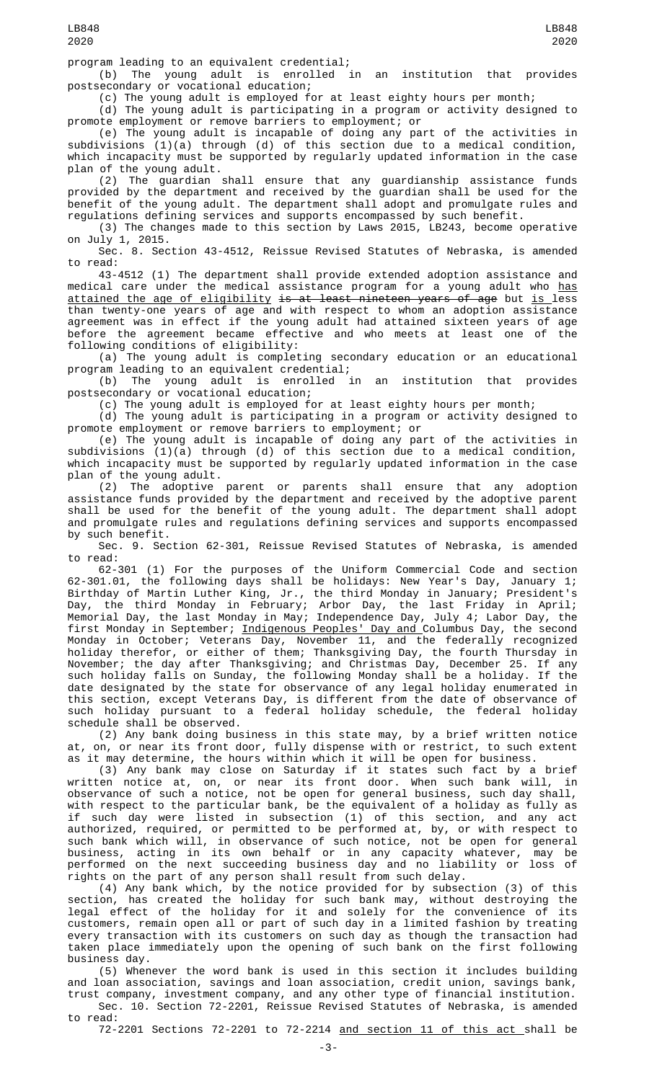program leading to an equivalent credential;

(b) The young adult is enrolled in an institution that provides postsecondary or vocational education;

(c) The young adult is employed for at least eighty hours per month;

(d) The young adult is participating in a program or activity designed to promote employment or remove barriers to employment; or

(e) The young adult is incapable of doing any part of the activities in subdivisions (1)(a) through (d) of this section due to a medical condition, which incapacity must be supported by regularly updated information in the case plan of the young adult.

(2) The guardian shall ensure that any guardianship assistance funds provided by the department and received by the guardian shall be used for the benefit of the young adult. The department shall adopt and promulgate rules and regulations defining services and supports encompassed by such benefit.

(3) The changes made to this section by Laws 2015, LB243, become operative on July 1, 2015.

Sec. 8. Section 43-4512, Reissue Revised Statutes of Nebraska, is amended to read:

43-4512 (1) The department shall provide extended adoption assistance and medical care under the medical assistance program for a young adult who <u>has</u> attained the age of eligibility is at least nineteen years of age but is less than twenty-one years of age and with respect to whom an adoption assistance agreement was in effect if the young adult had attained sixteen years of age before the agreement became effective and who meets at least one of the following conditions of eligibility:

(a) The young adult is completing secondary education or an educational program leading to an equivalent credential;

(b) The young adult is enrolled in an institution that provides postsecondary or vocational education;

(c) The young adult is employed for at least eighty hours per month;

(d) The young adult is participating in a program or activity designed to promote employment or remove barriers to employment; or

(e) The young adult is incapable of doing any part of the activities in subdivisions (1)(a) through (d) of this section due to a medical condition, which incapacity must be supported by regularly updated information in the case plan of the young adult.

(2) The adoptive parent or parents shall ensure that any adoption assistance funds provided by the department and received by the adoptive parent shall be used for the benefit of the young adult. The department shall adopt and promulgate rules and regulations defining services and supports encompassed by such benefit.

Sec. 9. Section 62-301, Reissue Revised Statutes of Nebraska, is amended to read: to read:

62-301 (1) For the purposes of the Uniform Commercial Code and section 62-301.01, the following days shall be holidays: New Year's Day, January 1; Birthday of Martin Luther King, Jr., the third Monday in January; President's Day, the third Monday in February; Arbor Day, the last Friday in April; Memorial Day, the last Monday in May; Independence Day, July 4; Labor Day, the first Monday in September; <u>Indigenous Peoples' Day and </u>Columbus Day, the second Monday in October; Veterans Day, November 11, and the federally recognized holiday therefor, or either of them; Thanksgiving Day, the fourth Thursday in November; the day after Thanksgiving; and Christmas Day, December 25. If any such holiday falls on Sunday, the following Monday shall be a holiday. If the date designated by the state for observance of any legal holiday enumerated in this section, except Veterans Day, is different from the date of observance of such holiday pursuant to a federal holiday schedule, the federal holiday schedule shall be observed.

(2) Any bank doing business in this state may, by a brief written notice at, on, or near its front door, fully dispense with or restrict, to such extent as it may determine, the hours within which it will be open for business.

(3) Any bank may close on Saturday if it states such fact by a brief written notice at, on, or near its front door. When such bank will, in observance of such a notice, not be open for general business, such day shall, with respect to the particular bank, be the equivalent of a holiday as fully as if such day were listed in subsection (1) of this section, and any act authorized, required, or permitted to be performed at, by, or with respect to such bank which will, in observance of such notice, not be open for general business, acting in its own behalf or in any capacity whatever, may be performed on the next succeeding business day and no liability or loss of rights on the part of any person shall result from such delay.

(4) Any bank which, by the notice provided for by subsection (3) of this section, has created the holiday for such bank may, without destroying the legal effect of the holiday for it and solely for the convenience of its customers, remain open all or part of such day in a limited fashion by treating every transaction with its customers on such day as though the transaction had taken place immediately upon the opening of such bank on the first following business day.

(5) Whenever the word bank is used in this section it includes building and loan association, savings and loan association, credit union, savings bank, trust company, investment company, and any other type of financial institution.

Sec. 10. Section 72-2201, Reissue Revised Statutes of Nebraska, is amended to read:

72-2201 Sections 72-2201 to 72-2214 and section 11 of this act shall be